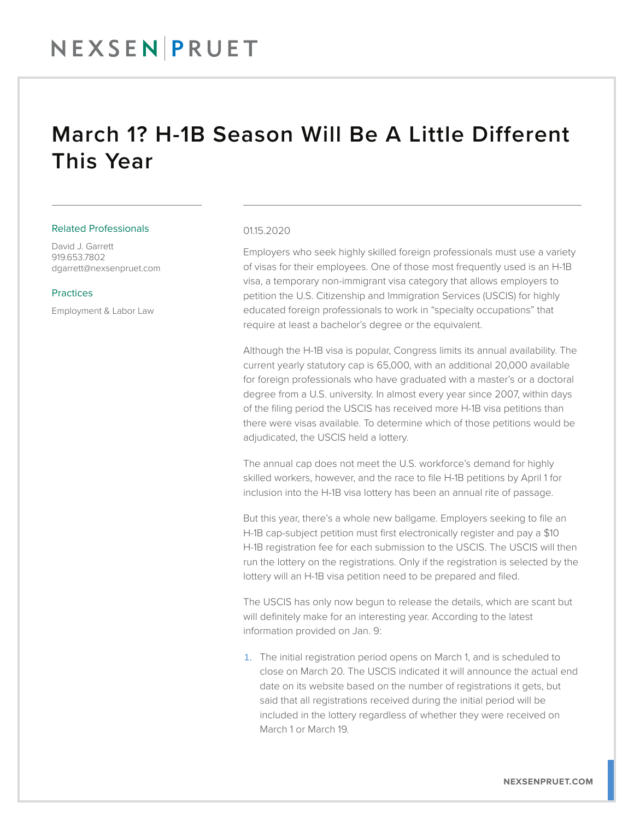# March 1? H-1B Season Will Be A Little Different This Year

### Related Professionals

David J. Garrett 919.653.7802 dgarrett@nexsenpruet.com

## Practices

Employment & Labor Law

### 01.15.2020

Employers who seek highly skilled foreign professionals must use a variety of visas for their employees. One of those most frequently used is an H-1B visa, a temporary non-immigrant visa category that allows employers to petition the U.S. Citizenship and Immigration Services (USCIS) for highly educated foreign professionals to work in "specialty occupations" that require at least a bachelor's degree or the equivalent.

Although the H-1B visa is popular, Congress limits its annual availability. The current yearly statutory cap is 65,000, with an additional 20,000 available for foreign professionals who have graduated with a master's or a doctoral degree from a U.S. university. In almost every year since 2007, within days of the filing period the USCIS has received more H-1B visa petitions than there were visas available. To determine which of those petitions would be adjudicated, the USCIS held a lottery.

The annual cap does not meet the U.S. workforce's demand for highly skilled workers, however, and the race to file H-1B petitions by April 1 for inclusion into the H-1B visa lottery has been an annual rite of passage.

But this year, there's a whole new ballgame. Employers seeking to file an H-1B cap-subject petition must first electronically register and pay a \$10 H-1B registration fee for each submission to the USCIS. The USCIS will then run the lottery on the registrations. Only if the registration is selected by the lottery will an H-1B visa petition need to be prepared and filed.

The USCIS has only now begun to release the details, which are scant but will definitely make for an interesting year. According to the latest information provided on Jan. 9:

1. The initial registration period opens on March 1, and is scheduled to close on March 20. The USCIS indicated it will announce the actual end date on its website based on the number of registrations it gets, but said that all registrations received during the initial period will be included in the lottery regardless of whether they were received on March 1 or March 19.